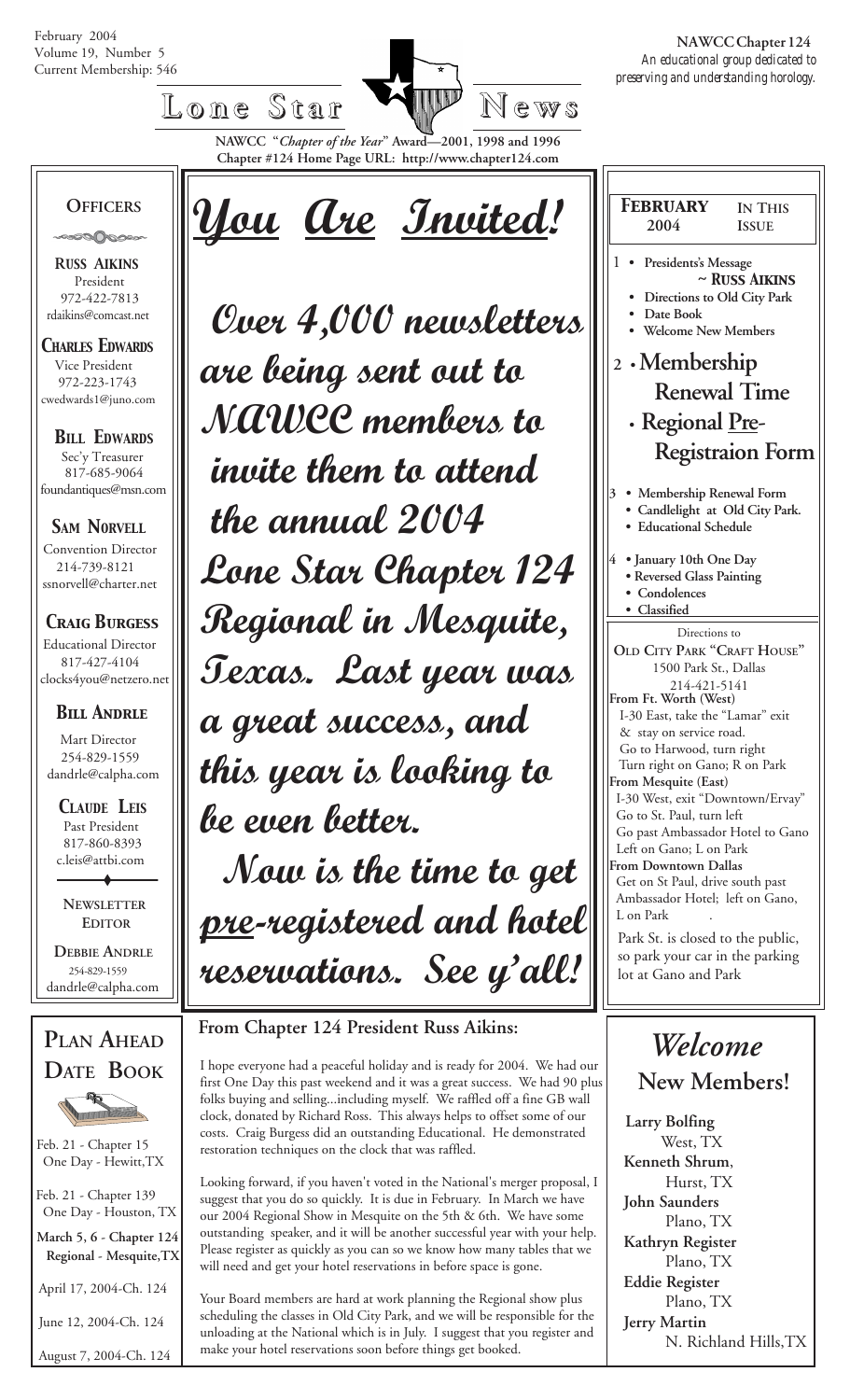February 2004 Volume 19, Number 5



 *preserving and understanding horology.*  **NAWCC Chapter 124**

Iг

**Chapter #124 Home Page URL: http://www.chapter124.com**

# FFICERS 100 May are Invited!

 **OFFICERS**

 **R***USS* **A***IKINS* President 972-422-7813 rdaikins@comcast.net

*CHARLES EDWARDS* Vice President 972-223-1743 cwedwards1@juno.com

*BILL EDWARDS* Sec'y Treasurer 817-685-9064 foundantiques@msn.com

**SAM NORVELL** Convention Director 214-739-8121 ssnorvell@charter.net

 *Craig Burgess* Educational Director 817-427-4104 clocks4you@netzero.net

### *Bill Andrle*

 Mart Director 254-829-1559 dandrle@calpha.com

 *CLAUDE LEIS* Past President 817-860-8393 c.leis@attbi.com

 **NEWSLETTER EDITOR**

 **DEBBIE ANDRLE** 254-829-1559 dandrle@calpha.com



Feb. 21 - Chapter 15 One Day - Hewitt,TX

 Feb. 21 - Chapter 139 One Day - Houston, TX

 **March 5, 6 - Chapter 124 Regional - Mesquite,TX**

April 17, 2004-Ch. 124

June 12, 2004-Ch. 124

August 7, 2004-Ch. 124

 *Over 4,000 newsletters are being sent out to NAWCC members to invite them to attend the annual 2004 Lone Star Chapter 124 Regional in Mesquite, Texas. Last year was a great success, and this year is looking to be even better. Now is the time to get pre-registered and hotel reservations. See y'all!*

 **From Chapter 124 President Russ Aikins:**

I hope everyone had a peaceful holiday and is ready for 2004. We had our first One Day this past weekend and it was a great success. We had 90 plus folks buying and selling...including myself. We raffled off a fine GB wall clock, donated by Richard Ross. This always helps to offset some of our costs. Craig Burgess did an outstanding Educational. He demonstrated restoration techniques on the clock that was raffled.

Looking forward, if you haven't voted in the National's merger proposal, I suggest that you do so quickly. It is due in February. In March we have our 2004 Regional Show in Mesquite on the 5th & 6th. We have some outstanding speaker, and it will be another successful year with your help. Please register as quickly as you can so we know how many tables that we will need and get your hotel reservations in before space is gone.

Your Board members are hard at work planning the Regional show plus scheduling the classes in Old City Park, and we will be responsible for the unloading at the National which is in July. I suggest that you register and make your hotel reservations soon before things get booked.

| <b>FEBRUARY</b>                                                                                                                                                  | <b>IN THIS</b>                                    |  |  |  |
|------------------------------------------------------------------------------------------------------------------------------------------------------------------|---------------------------------------------------|--|--|--|
| 2004                                                                                                                                                             | <b>ISSUE</b>                                      |  |  |  |
| 1<br>Presidents's Message<br>Date Book<br><b>Welcome New Members</b>                                                                                             | $\sim$ Russ Aikins<br>Directions to Old City Park |  |  |  |
| 2 · Membership                                                                                                                                                   |                                                   |  |  |  |
| <b>Renewal Time</b>                                                                                                                                              |                                                   |  |  |  |
| • Regional <u>Pre</u> -                                                                                                                                          |                                                   |  |  |  |
| <b>Registraion Form</b>                                                                                                                                          |                                                   |  |  |  |
| 3<br>• Membership Renewal Form<br>· Educational Schedule<br>$\overline{4}$<br>• January 10th One Day<br>• Reversed Glass Painting<br>Condolences<br>· Classified | Candlelight at Old City Park.                     |  |  |  |
|                                                                                                                                                                  |                                                   |  |  |  |
| Directions to<br>OLD CITY PARK "CRAFT HOUSE"<br>1500 Park St., Dallas<br>214-421-5141<br>From Ft. Worth (West)                                                   |                                                   |  |  |  |
| I-30 East, take the "Lamar" exit<br>& stay on service road.                                                                                                      |                                                   |  |  |  |
| Go to Harwood, turn right                                                                                                                                        |                                                   |  |  |  |
| Turn right on Gano; R on Park                                                                                                                                    |                                                   |  |  |  |
| From Mesquite (East)<br>I-30 West, exit "Downtown/Ervay"                                                                                                         |                                                   |  |  |  |
| Go to St. Paul, turn left                                                                                                                                        |                                                   |  |  |  |
| Go past Ambassador Hotel to Gano                                                                                                                                 |                                                   |  |  |  |
| Left on Gano; L on Park<br>From Downtown Dallas                                                                                                                  |                                                   |  |  |  |
| Get on St Paul, drive south past                                                                                                                                 |                                                   |  |  |  |
| Ambassador Hotel; left on Gano,<br>L on Park                                                                                                                     |                                                   |  |  |  |
| Park St. is closed to the public,                                                                                                                                |                                                   |  |  |  |
| so park your car in the parking                                                                                                                                  |                                                   |  |  |  |
| lot at Gano and Park                                                                                                                                             |                                                   |  |  |  |

## *Welcome*  **New Members!**

**Larry Bolfing** West, TX **Kenneth Shrum**, Hurst, TX **John Saunders** Plano, TX **Kathryn Register** Plano, TX **Eddie Register** Plano, TX **Jerry Martin** N. Richland Hills,TX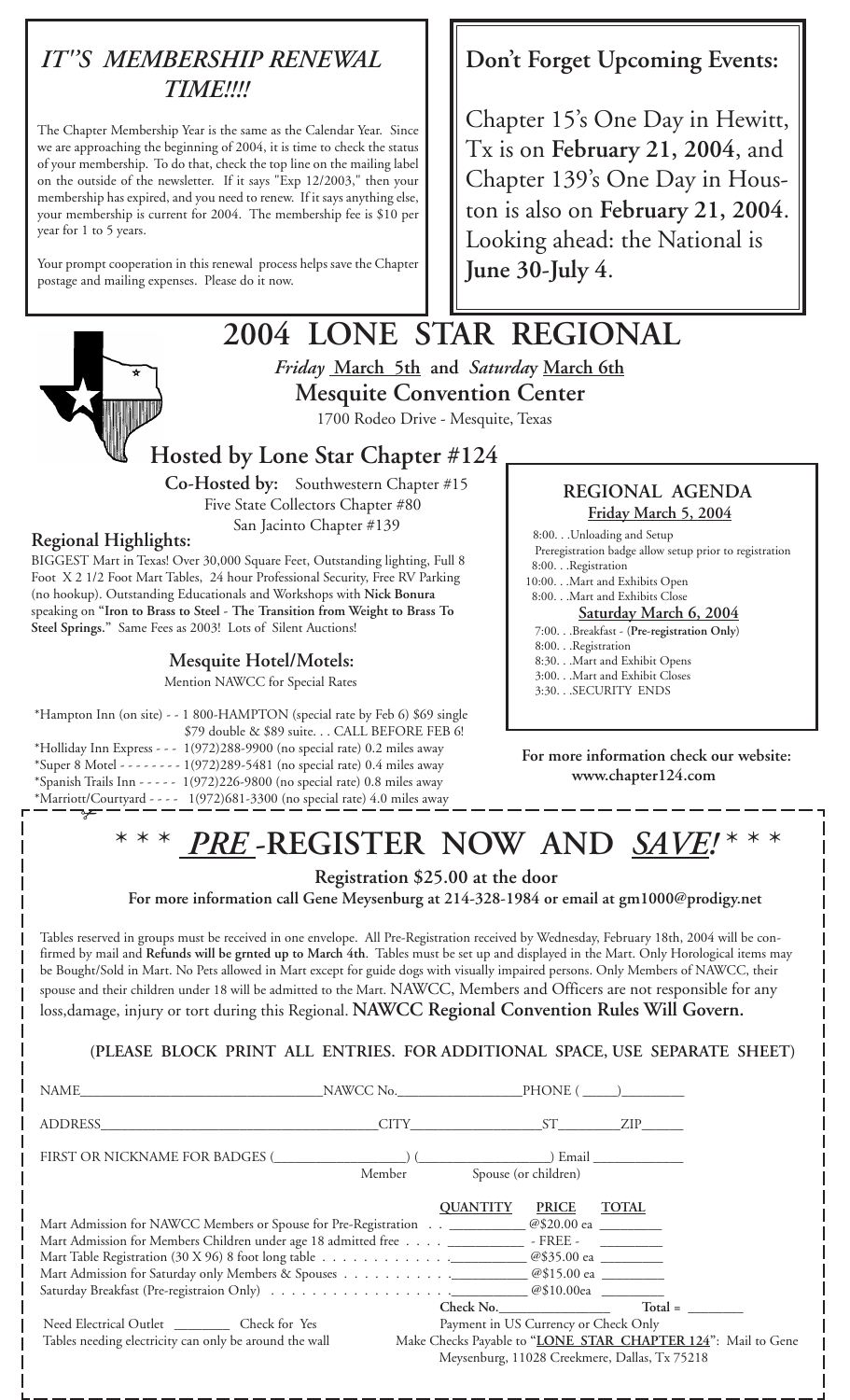## *IT''S MEMBERSHIP RENEWAL TIME!!!!*

The Chapter Membership Year is the same as the Calendar Year. Since we are approaching the beginning of 2004, it is time to check the status of your membership. To do that, check the top line on the mailing label on the outside of the newsletter. If it says "Exp 12/2003," then your membership has expired, and you need to renew. If it says anything else, your membership is current for 2004. The membership fee is \$10 per year for 1 to 5 years.

Your prompt cooperation in this renewal process helps save the Chapter postage and mailing expenses. Please do it now.

## **Don't Forget Upcoming Events:**

Chapter 15's One Day in Hewitt, Tx is on **February 21, 2004**, and Chapter 139's One Day in Houston is also on **February 21, 2004**. Looking ahead: the National is **June 30-July 4**.

## **2004 LONE STAR REGIONAL** *Friday* **March 5th and** *Saturda***y March 6th Mesquite Convention Center**

1700 Rodeo Drive - Mesquite, Texas

**Hosted by Lone Star Chapter #124**

 **Co-Hosted by:** Southwestern Chapter #15 Five State Collectors Chapter #80 San Jacinto Chapter #139

#### **Regional Highlights:**

BIGGEST Mart in Texas! Over 30,000 Square Feet, Outstanding lighting, Full 8 Foot X 2 1/2 Foot Mart Tables, 24 hour Professional Security, Free RV Parking (no hookup). Outstanding Educationals and Workshops with **Nick Bonura** speaking on **"Iron to Brass to Steel - The Transition from Weight to Brass To Steel Springs."** Same Fees as 2003! Lots of Silent Auctions!

#### **Mesquite Hotel/Motels:**

Mention NAWCC for Special Rates

\*Hampton Inn (on site) - - 1 800-HAMPTON (special rate by Feb 6) \$69 single \$79 double & \$89 suite. . . CALL BEFORE FEB 6! \*Holliday Inn Express - - - 1(972)288-9900 (no special rate) 0.2 miles away \*Super 8 Motel - - - - - - - - 1(972)289-5481 (no special rate) 0.4 miles away \*Spanish Trails Inn - - - - - 1(972)226-9800 (no special rate) 0.8 miles away \*Marriott/Courtyard - - - - 1(972)681-3300 (no special rate) 4.0 miles away ✃

#### **REGIONAL AGENDA Friday March 5, 2004**

 8:00. . .Unloading and Setup Preregistration badge allow setup prior to registration 8:00. . .Registration

10:00. . .Mart and Exhibits Open 8:00. . .Mart and Exhibits Close

#### **Saturday March 6, 2004**

#### 7:00. . .Breakfast - (**Pre-registration Only**)

- 8:00. . .Registration
- 8:30. . .Mart and Exhibit Opens
- 3:00. . .Mart and Exhibit Closes
- 3:30. . .SECURITY ENDS

**For more information check our website: www.chapter124.com**

## \* \* \* *PRE* **-REGISTER NOW AND** *SAVE!* \* \* \*

 **Registration \$25.00 at the door**

 **For more information call Gene Meysenburg at 214-328-1984 or email at gm1000@prodigy.net**

Tables reserved in groups must be received in one envelope. All Pre-Registration received by Wednesday, February 18th, 2004 will be confirmed by mail and **Refunds will be grnted up to March 4th**. Tables must be set up and displayed in the Mart. Only Horological items may be Bought/Sold in Mart. No Pets allowed in Mart except for guide dogs with visually impaired persons. Only Members of NAWCC, their spouse and their children under 18 will be admitted to the Mart. NAWCC, Members and Officers are not responsible for any

loss,damage, injury or tort during this Regional. **NAWCC Regional Convention Rules Will Govern.**

**(PLEASE BLOCK PRINT ALL ENTRIES. FOR ADDITIONAL SPACE, USE SEPARATE SHEET)**

| ADDRESS                                                                                            | $CITY$ $ST$ ZIP |                                      |                                                                                                               |
|----------------------------------------------------------------------------------------------------|-----------------|--------------------------------------|---------------------------------------------------------------------------------------------------------------|
|                                                                                                    | Member          | Spouse (or children)                 |                                                                                                               |
| Mart Admission for NAWCC Members or Spouse for Pre-Registration _____________@\$20.00 ea _________ | <b>QUANTITY</b> | <b>PRICE</b>                         | <b>TOTAL</b>                                                                                                  |
| Mart Admission for Members Children under age 18 admitted free ______________ - FREE - ___________ |                 |                                      |                                                                                                               |
|                                                                                                    |                 |                                      |                                                                                                               |
|                                                                                                    |                 | Check No.                            | $Total =$                                                                                                     |
| Need Electrical Outlet ____________ Check for Yes                                                  |                 | Payment in US Currency or Check Only |                                                                                                               |
| Tables needing electricity can only be around the wall                                             |                 |                                      | Make Checks Payable to "LONE STAR CHAPTER 124": Mail to Gene<br>Meysenburg, 11028 Creekmere, Dallas, Tx 75218 |

 $-$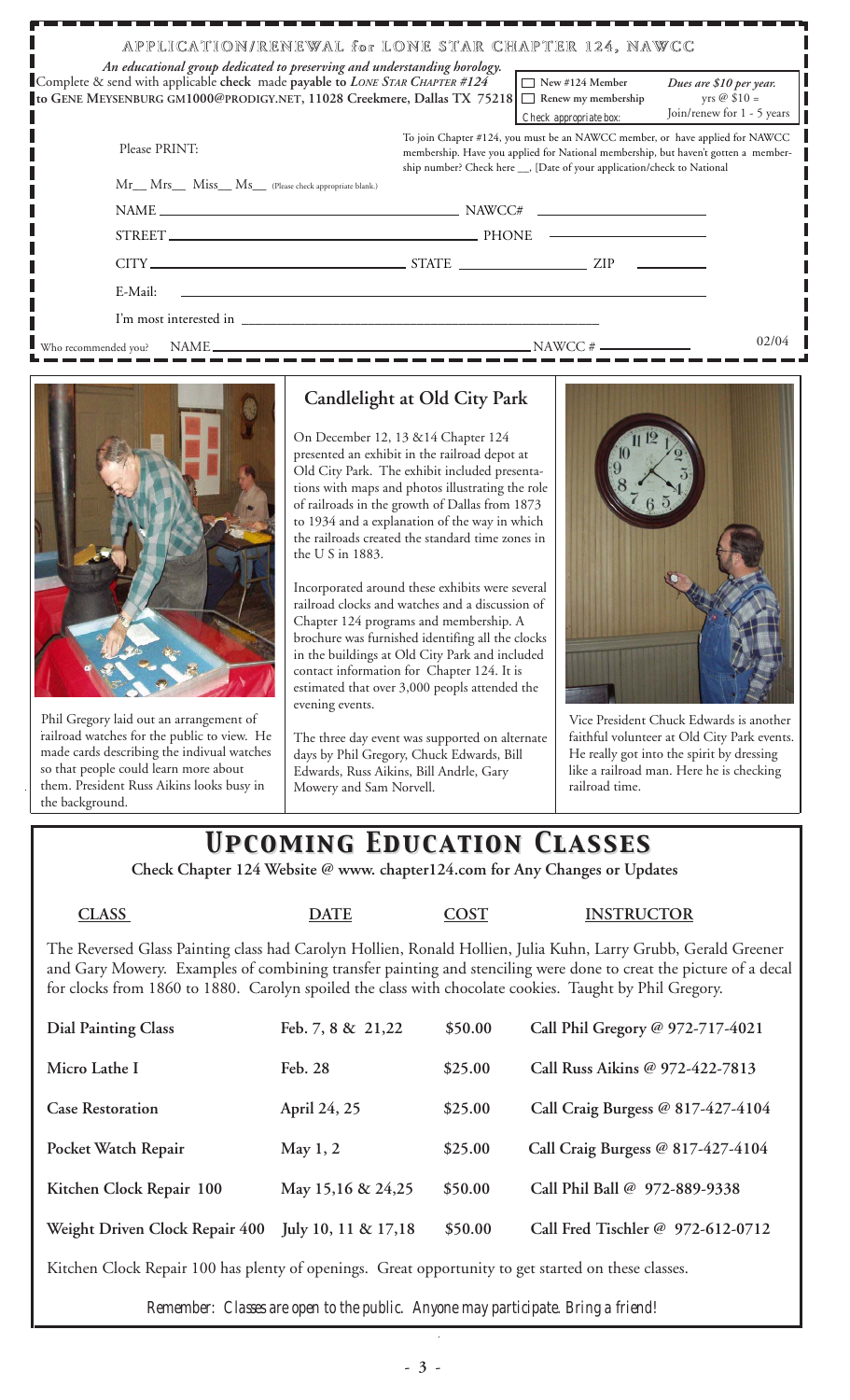| APPLICATION/RENEWAL for LONE STAR CHAPTER 124, NAWCC<br>An educational group dedicated to preserving and understanding horology.                                              |                                                                                                                                                                                                                                               |  |  |  |  |  |  |
|-------------------------------------------------------------------------------------------------------------------------------------------------------------------------------|-----------------------------------------------------------------------------------------------------------------------------------------------------------------------------------------------------------------------------------------------|--|--|--|--|--|--|
| Complete & send with applicable check made payable to LONE STAR CHAPTER #124<br>to GENE MEYSENBURG GM1000@PRODIGY.NET, 11028 Creekmere, Dallas TX 75218 □ Renew my membership | $\Box$ New #124 Member<br>Dues are \$10 per year.<br>yrs $\oslash$ \$10 =<br>Join/renew for 1 - 5 years<br>Check appropriate box:                                                                                                             |  |  |  |  |  |  |
| Please PRINT:                                                                                                                                                                 | To join Chapter #124, you must be an NAWCC member, or have applied for NAWCC<br>membership. Have you applied for National membership, but haven't gotten a member-<br>ship number? Check here __, [Date of your application/check to National |  |  |  |  |  |  |
| Mr Mrs Miss Ms (Please check appropriate blank.)                                                                                                                              |                                                                                                                                                                                                                                               |  |  |  |  |  |  |
|                                                                                                                                                                               | $NAME \_\_$                                                                                                                                                                                                                                   |  |  |  |  |  |  |
|                                                                                                                                                                               |                                                                                                                                                                                                                                               |  |  |  |  |  |  |
|                                                                                                                                                                               |                                                                                                                                                                                                                                               |  |  |  |  |  |  |
| E-Mail:                                                                                                                                                                       |                                                                                                                                                                                                                                               |  |  |  |  |  |  |
|                                                                                                                                                                               |                                                                                                                                                                                                                                               |  |  |  |  |  |  |
|                                                                                                                                                                               | 02/04                                                                                                                                                                                                                                         |  |  |  |  |  |  |



Phil Gregory laid out an arrangement of railroad watches for the public to view. He made cards describing the indivual watches so that people could learn more about them. President Russ Aikins looks busy in the background.

### **Candlelight at Old City Park**

On December 12, 13 &14 Chapter 124 presented an exhibit in the railroad depot at Old City Park. The exhibit included presentations with maps and photos illustrating the role of railroads in the growth of Dallas from 1873 to 1934 and a explanation of the way in which the railroads created the standard time zones in the U S in 1883.

Incorporated around these exhibits were several railroad clocks and watches and a discussion of Chapter 124 programs and membership. A brochure was furnished identifing all the clocks in the buildings at Old City Park and included contact information for Chapter 124. It is estimated that over 3,000 peopls attended the evening events.

The three day event was supported on alternate days by Phil Gregory, Chuck Edwards, Bill Edwards, Russ Aikins, Bill Andrle, Gary Mowery and Sam Norvell.



Vice President Chuck Edwards is another faithful volunteer at Old City Park events. He really got into the spirit by dressing like a railroad man. Here he is checking railroad time.

## *Upcoming Education Classes Upcoming Education Classes*

 **Check Chapter 124 Website @ www. chapter124.com for Any Changes or Updates**

#### **CLASS DATE COST INSTRUCTOR**

The Reversed Glass Painting class had Carolyn Hollien, Ronald Hollien, Julia Kuhn, Larry Grubb, Gerald Greener and Gary Mowery. Examples of combining transfer painting and stenciling were done to creat the picture of a decal for clocks from 1860 to 1880. Carolyn spoiled the class with chocolate cookies. Taught by Phil Gregory.

| <b>Dial Painting Class</b>     | Feb. 7, 8 & 21,22     | \$50.00 | Call Phil Gregory @ 972-717-4021  |
|--------------------------------|-----------------------|---------|-----------------------------------|
| Micro Lathe I                  | Feb. 28               | \$25.00 | Call Russ Aikins @ 972-422-7813   |
| <b>Case Restoration</b>        | April 24, 25          | \$25.00 | Call Craig Burgess @ 817-427-4104 |
| Pocket Watch Repair            | May $1, 2$            | \$25.00 | Call Craig Burgess @ 817-427-4104 |
| Kitchen Clock Repair 100       | May 15,16 & 24,25     | \$50.00 | Call Phil Ball @ 972-889-9338     |
| Weight Driven Clock Repair 400 | July 10, 11 & $17,18$ | \$50.00 | Call Fred Tischler @ 972-612-0712 |
|                                |                       |         |                                   |

Kitchen Clock Repair 100 has plenty of openings. Great opportunity to get started on these classes.

*Remember: Classes are open to the public. Anyone may participate. Bring a friend!*